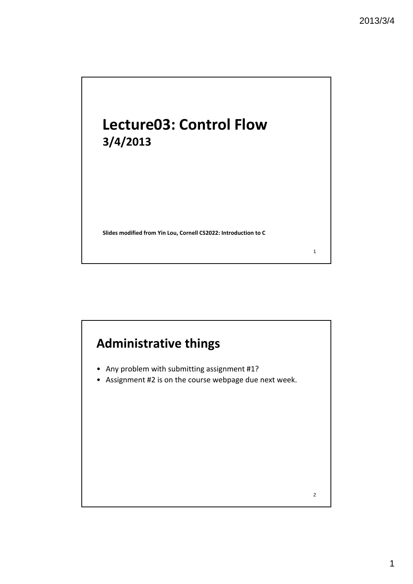## **Lecture03: Control Flow 3/4/2013**

**Slides modified from Yin Lou, Cornell CS2022: Introduction to C**

### **Administrative things**

- Any problem with submitting assignment #1?
- Assignment #2 is on the course webpage due next week.

2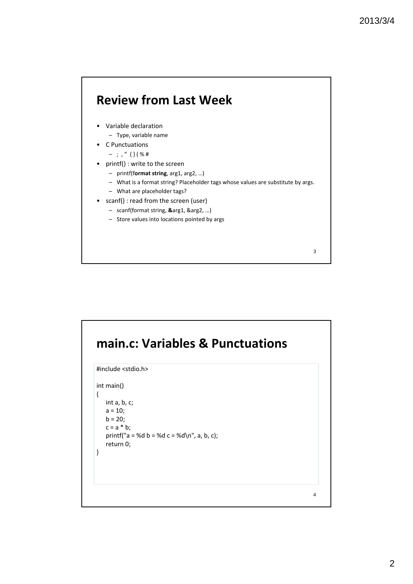#### **Review from Last Week**

- Variable declaration – Type, variable name
- C Punctuations
	- $-$  ; , "  $\{\}$  ( % #
- printf() : write to the screen
	- printf(f**ormat string**, arg1, arg2, …)
	- What is a format string? Placeholder tags whose values are substitute by args.
	- What are placeholder tags?
- scanf() : read from the screen (user)
	- scanf(format string, **&**arg1, &arg2, …)
	- Store values into locations pointed by args

### **main.c: Variables & Punctuations** #include <stdio.h> int main() { int a, b, c;  $a = 10$ ;  $b = 20;$  $c = a * b;$ printf("a = %d b = %d c = %d\n", a, b, c); return 0; } 4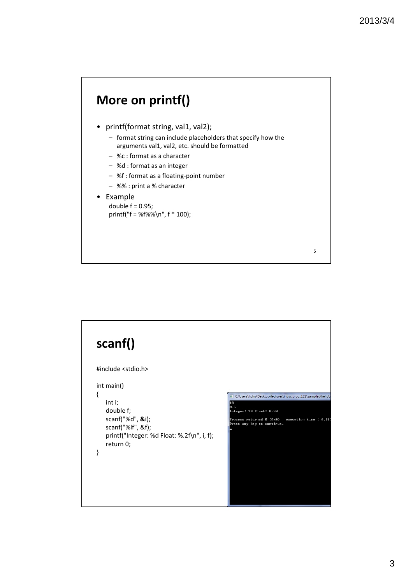#### **More on printf()**

- printf(format string, val1, val2);
	- format string can include placeholders that specify how the arguments val1, val2, etc. should be formatted
	- %c : format as a character
	- %d : format as an integer
	- %f : format as a floating‐point number
	- %% : print a % character

#### • Example

double  $f = 0.95$ ; printf("f = %f%%\n", f \* 100);

#### **scanf()** #include <stdio.h> int main() { C:\Users\hchu\Desktop\lectures\intro\_prog\_12S\samples\hello int i; 10<br>0.5<br>Integer: 10 Float: 0.50 double f; Process returned 0 (0x0) - execution time : 6.91<br>Press any key to continue. scanf("%d", **&**i); scanf("%lf", &f); printf("Integer: %d Float: %.2f\n", i, f); return 0; }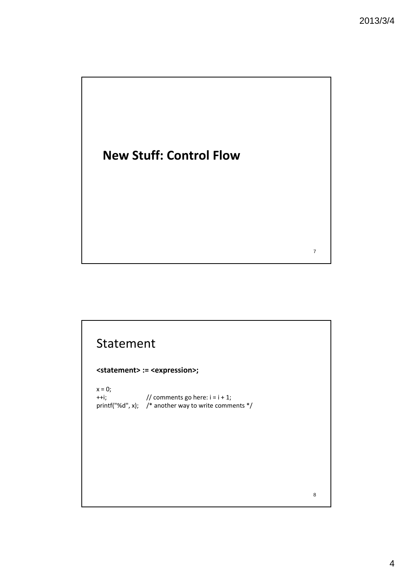### **New Stuff: Control Flow**

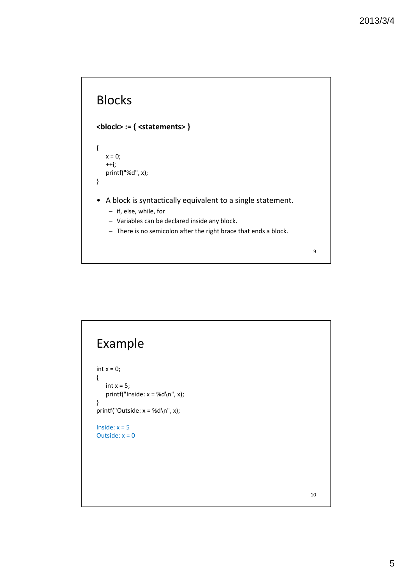### Blocks

#### **<block> := { <statements> }**

```
{
   x = 0;++i;
   printf("%d", x);
}
```
- A block is syntactically equivalent to a single statement.
	- if, else, while, for
	- Variables can be declared inside any block.
	- There is no semicolon after the right brace that ends a block.

9

# Example int  $x = 0$ ; { int  $x = 5$ ; printf("Inside:  $x = %d\n\rightharpoonup x$ ); } printf("Outside:  $x = %d\n\rightharpoonup x$ ); Inside:  $x = 5$ Outside:  $x = 0$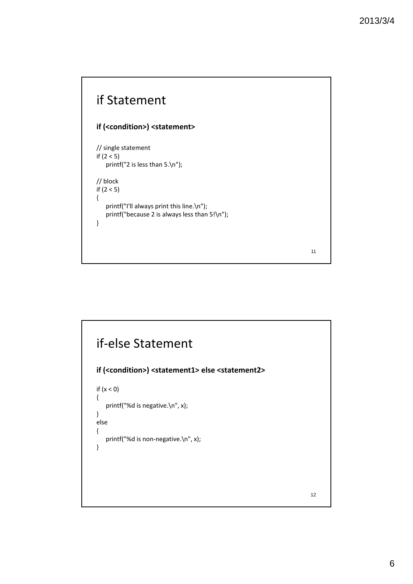#### if Statement **if (<condition>) <statement>** // single statement if (2 < 5) printf("2 is less than 5.\n"); // block if (2 < 5) { printf("I'll always print this line.\n"); printf("because 2 is always less than 5!\n"); }

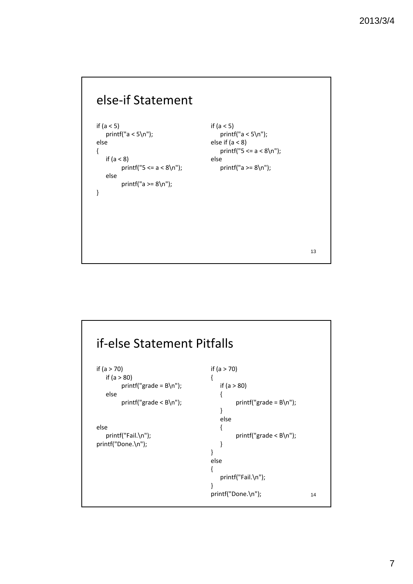

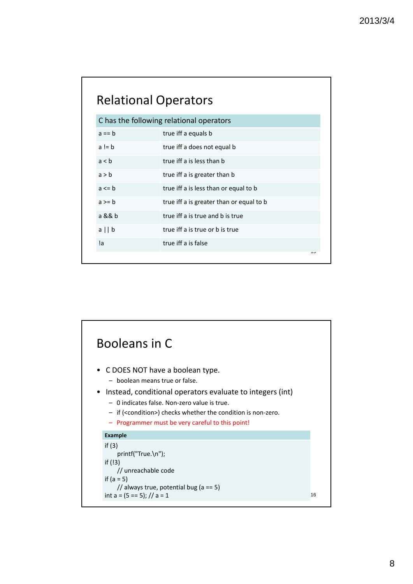|            | <b>Relational Operators</b>              |
|------------|------------------------------------------|
|            | C has the following relational operators |
| $a == b$   | true iff a equals b                      |
| $a = b$    | true iff a does not equal b              |
| a < b      | true iff a is less than b                |
| a > b      | true iff a is greater than b             |
| $a \leq b$ | true iff a is less than or equal to b    |
| $a \geq b$ | true iff a is greater than or equal to b |
| a && b     | true iff a is true and b is true         |
| $a \mid b$ | true iff a is true or b is true          |
| !a         | true iff a is false                      |
|            | ں ا                                      |

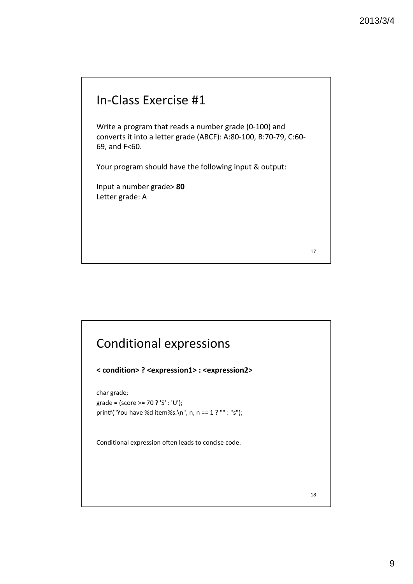#### In‐Class Exercise #1

Write a program that reads a number grade (0‐100) and converts it into a letter grade (ABCF): A:80‐100, B:70‐79, C:60‐ 69, and F<60.

Your program should have the following input & output:

Input a number grade> **80** Letter grade: A

17

# Conditional expressions **< condition> ? <expression1> : <expression2>** char grade; grade = (score >= 70 ? 'S' : 'U'); printf("You have %d item%s.\n", n, n == 1 ? "" : "s"); Conditional expression often leads to concise code. 18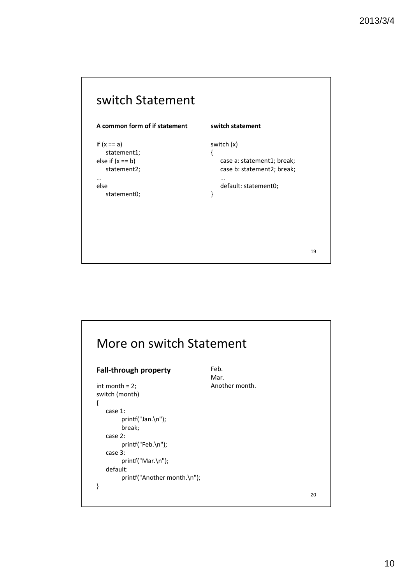

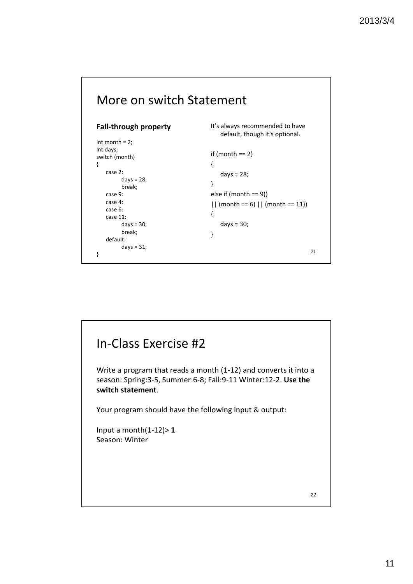

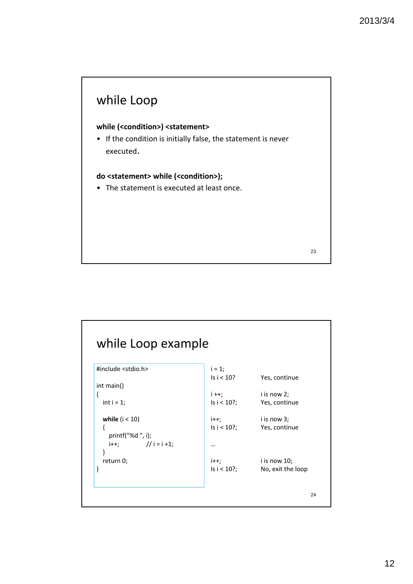

| #include <stdio.h></stdio.h> | $i = 1;$    |                   |
|------------------------------|-------------|-------------------|
|                              | ls i < 10?  | Yes, continue     |
| int main()                   |             |                   |
| {                            | $i + j$     | i is now 2;       |
| int $i = 1$ ;                | ls i < 10?; | Yes, continue     |
| while $(i < 10)$             | $i++;$      | i is now 3;       |
| ſ                            | ls i < 10?; | Yes, continue     |
| printf("%d", i);             |             |                   |
| $i++;$ // $i=i+1;$           |             |                   |
| ł                            |             |                   |
| return 0;                    | $i++;$      | i is now 10;      |
| }                            | ls i < 10?; | No, exit the loop |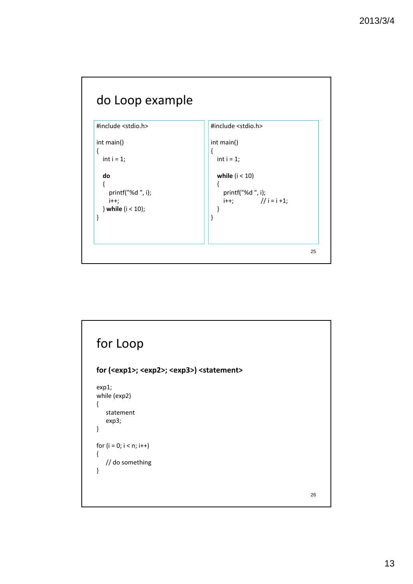

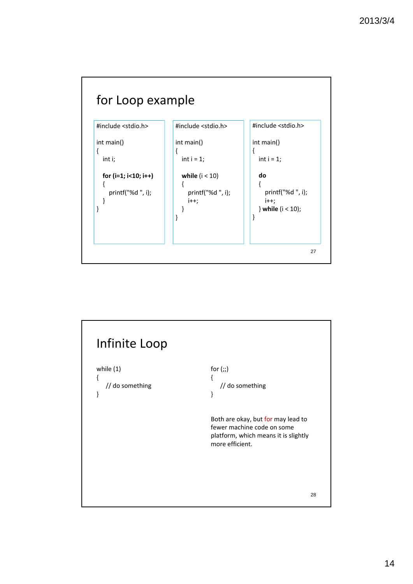

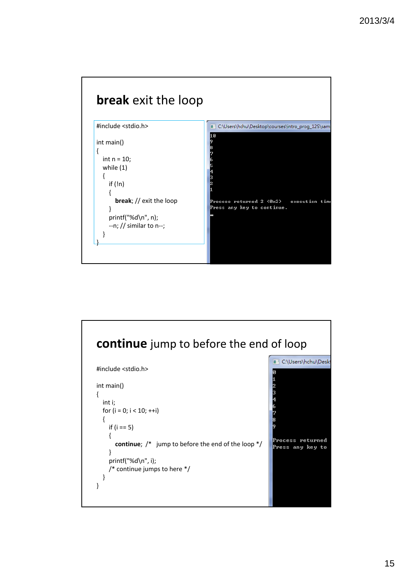

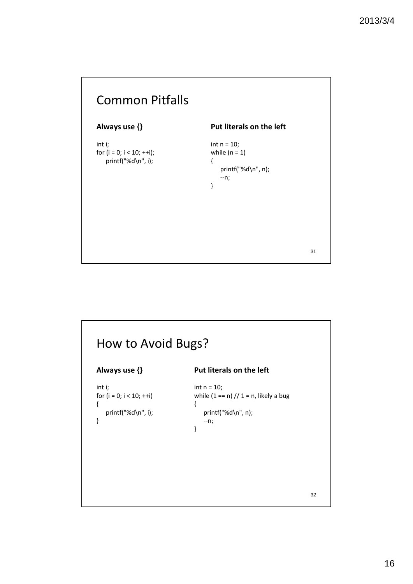